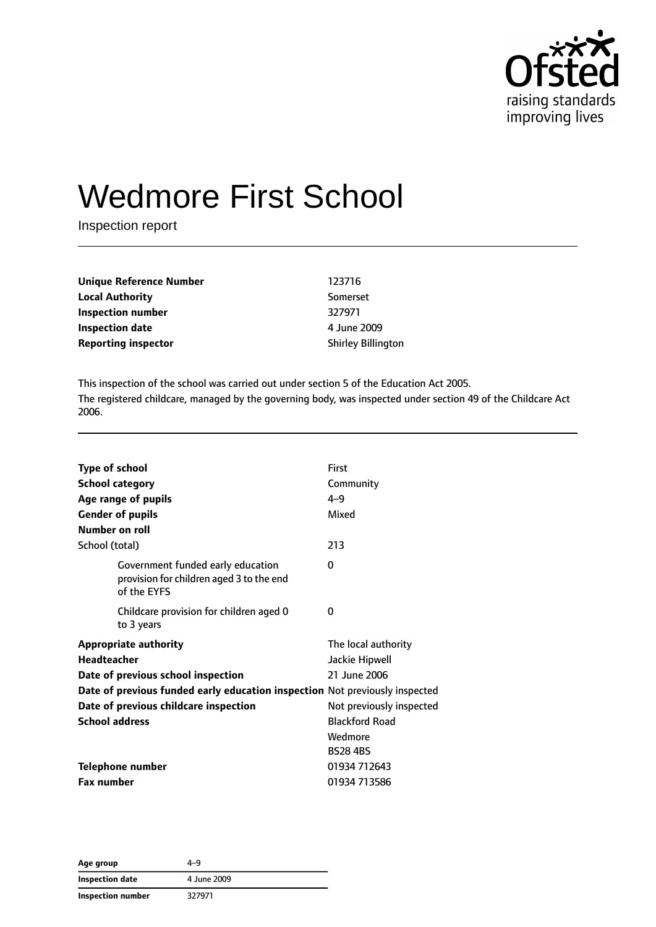

# Wedmore First School

Inspection report

| Unique Reference Number    | 123716                    |
|----------------------------|---------------------------|
| Local Authority            | Somerset                  |
| Inspection number          | 327971                    |
| Inspection date            | 4 June 2009               |
| <b>Reporting inspector</b> | <b>Shirley Billington</b> |
|                            |                           |

This inspection of the school was carried out under section 5 of the Education Act 2005. The registered childcare, managed by the governing body, was inspected under section 49 of the Childcare Act 2006.

| Type of school                                                                               | First                    |
|----------------------------------------------------------------------------------------------|--------------------------|
| <b>School category</b>                                                                       | Community                |
| Age range of pupils                                                                          | $4 - 9$                  |
| <b>Gender of pupils</b>                                                                      | Mixed                    |
| Number on roll                                                                               |                          |
| School (total)                                                                               | 213                      |
| Government funded early education<br>provision for children aged 3 to the end<br>of the FYFS | 0                        |
| Childcare provision for children aged 0<br>to 3 years                                        | 0                        |
| <b>Appropriate authority</b>                                                                 | The local authority      |
| Headteacher                                                                                  | Jackie Hipwell           |
| Date of previous school inspection                                                           | 21 June 2006             |
| Date of previous funded early education inspection Not previously inspected                  |                          |
| Date of previous childcare inspection                                                        | Not previously inspected |
| <b>School address</b>                                                                        | <b>Blackford Road</b>    |
|                                                                                              | Wedmore                  |
|                                                                                              | <b>BS284BS</b>           |
| <b>Telephone number</b>                                                                      | 01934 712643             |
| <b>Fax number</b>                                                                            | 01934 713586             |

| Age group                | 4–9         |
|--------------------------|-------------|
| Inspection date          | 4 June 2009 |
| <b>Inspection number</b> | 327971      |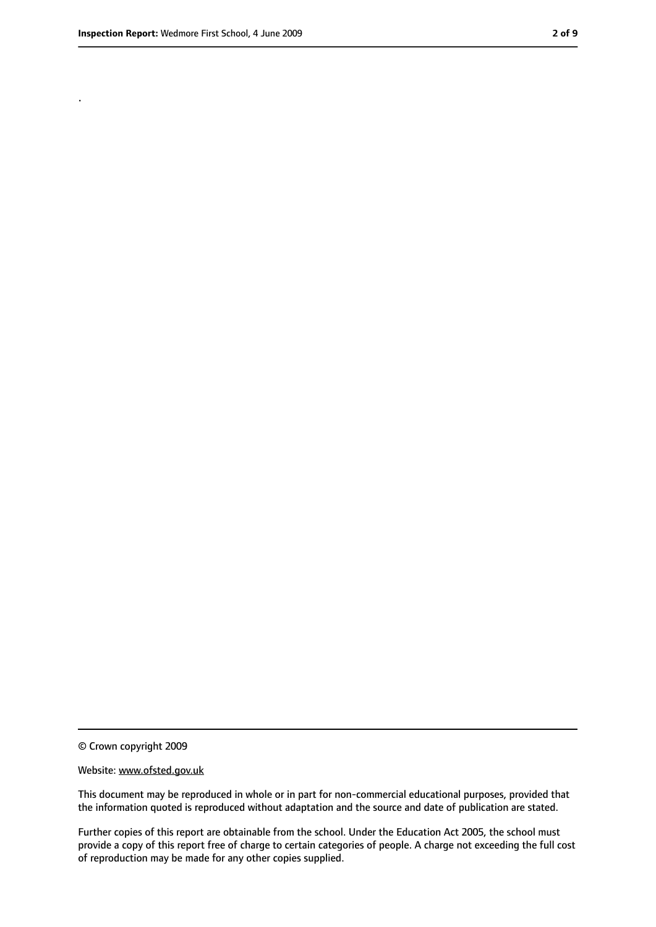.

<sup>©</sup> Crown copyright 2009

Website: www.ofsted.gov.uk

This document may be reproduced in whole or in part for non-commercial educational purposes, provided that the information quoted is reproduced without adaptation and the source and date of publication are stated.

Further copies of this report are obtainable from the school. Under the Education Act 2005, the school must provide a copy of this report free of charge to certain categories of people. A charge not exceeding the full cost of reproduction may be made for any other copies supplied.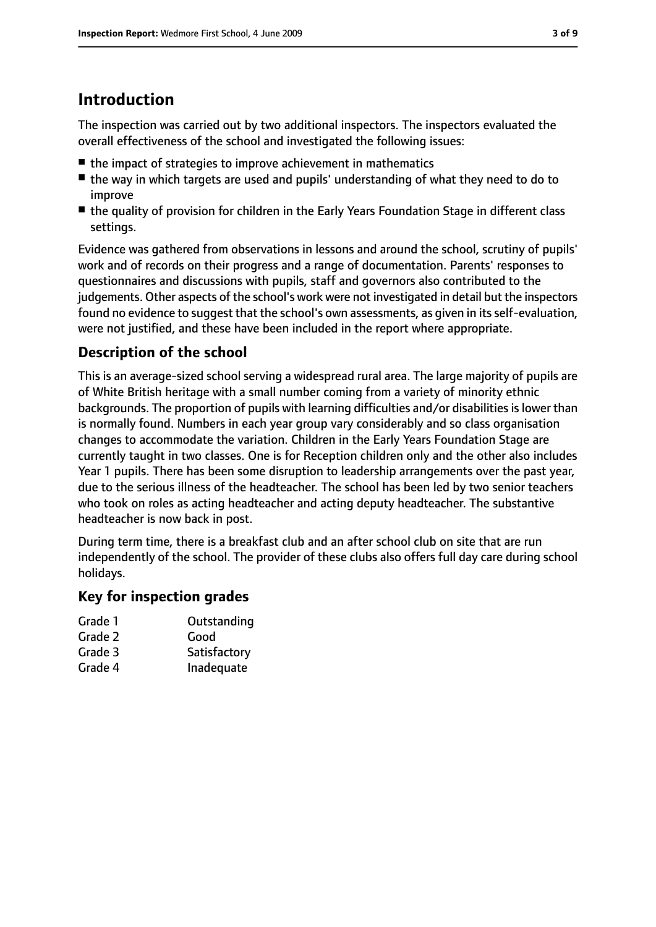## **Introduction**

The inspection was carried out by two additional inspectors. The inspectors evaluated the overall effectiveness of the school and investigated the following issues:

- the impact of strategies to improve achievement in mathematics
- the way in which targets are used and pupils' understanding of what they need to do to improve
- the quality of provision for children in the Early Years Foundation Stage in different class settings.

Evidence was gathered from observations in lessons and around the school, scrutiny of pupils' work and of records on their progress and a range of documentation. Parents' responses to questionnaires and discussions with pupils, staff and governors also contributed to the judgements. Other aspects of the school's work were not investigated in detail but the inspectors found no evidence to suggest that the school's own assessments, as given in its self-evaluation, were not justified, and these have been included in the report where appropriate.

#### **Description of the school**

This is an average-sized school serving a widespread rural area. The large majority of pupils are of White British heritage with a small number coming from a variety of minority ethnic backgrounds. The proportion of pupils with learning difficulties and/or disabilities is lower than is normally found. Numbers in each year group vary considerably and so class organisation changes to accommodate the variation. Children in the Early Years Foundation Stage are currently taught in two classes. One is for Reception children only and the other also includes Year 1 pupils. There has been some disruption to leadership arrangements over the past year, due to the serious illness of the headteacher. The school has been led by two senior teachers who took on roles as acting headteacher and acting deputy headteacher. The substantive headteacher is now back in post.

During term time, there is a breakfast club and an after school club on site that are run independently of the school. The provider of these clubs also offers full day care during school holidays.

#### **Key for inspection grades**

| Outstanding |
|-------------|
|             |

- Grade 2 Good
- Grade 3 Satisfactory
- Grade 4 Inadequate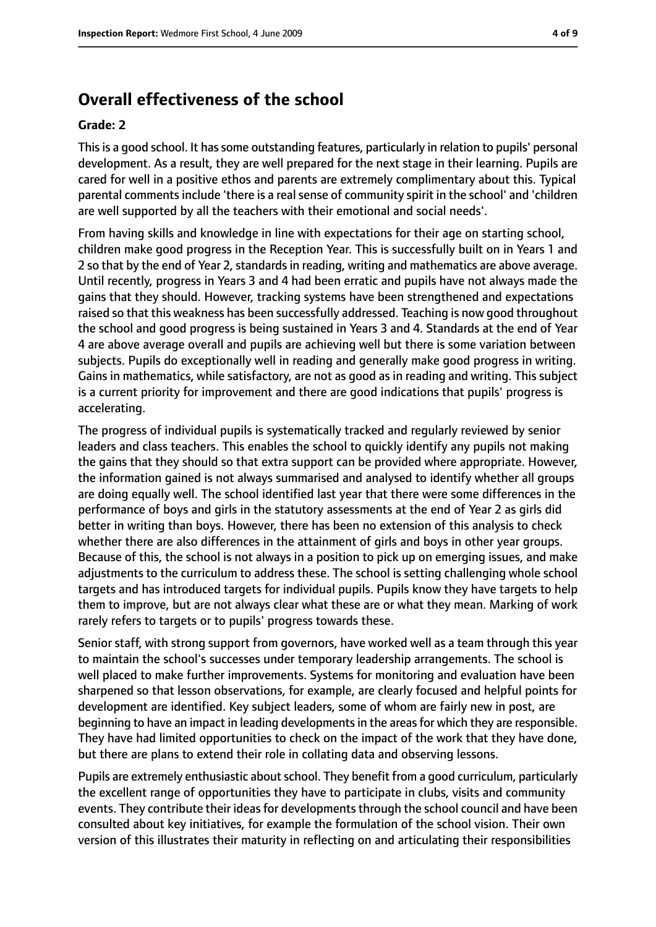#### **Overall effectiveness of the school**

#### **Grade: 2**

Thisis a good school. It hassome outstanding features, particularly in relation to pupils' personal development. As a result, they are well prepared for the next stage in their learning. Pupils are cared for well in a positive ethos and parents are extremely complimentary about this. Typical parental comments include 'there is a real sense of community spirit in the school' and 'children are well supported by all the teachers with their emotional and social needs'.

From having skills and knowledge in line with expectations for their age on starting school, children make good progress in the Reception Year. This is successfully built on in Years 1 and 2 so that by the end of Year 2, standards in reading, writing and mathematics are above average. Until recently, progress in Years 3 and 4 had been erratic and pupils have not always made the gains that they should. However, tracking systems have been strengthened and expectations raised so that this weakness has been successfully addressed. Teaching is now good throughout the school and good progress is being sustained in Years 3 and 4. Standards at the end of Year 4 are above average overall and pupils are achieving well but there is some variation between subjects. Pupils do exceptionally well in reading and generally make good progress in writing. Gains in mathematics, while satisfactory, are not as good as in reading and writing. This subject is a current priority for improvement and there are good indications that pupils' progress is accelerating.

The progress of individual pupils is systematically tracked and regularly reviewed by senior leaders and class teachers. This enables the school to quickly identify any pupils not making the gains that they should so that extra support can be provided where appropriate. However, the information gained is not always summarised and analysed to identify whether all groups are doing equally well. The school identified last year that there were some differences in the performance of boys and girls in the statutory assessments at the end of Year 2 as girls did better in writing than boys. However, there has been no extension of this analysis to check whether there are also differences in the attainment of girls and boys in other year groups. Because of this, the school is not always in a position to pick up on emerging issues, and make adjustments to the curriculum to address these. The school is setting challenging whole school targets and has introduced targets for individual pupils. Pupils know they have targets to help them to improve, but are not always clear what these are or what they mean. Marking of work rarely refers to targets or to pupils' progress towards these.

Senior staff, with strong support from governors, have worked well as a team through this year to maintain the school's successes under temporary leadership arrangements. The school is well placed to make further improvements. Systems for monitoring and evaluation have been sharpened so that lesson observations, for example, are clearly focused and helpful points for development are identified. Key subject leaders, some of whom are fairly new in post, are beginning to have an impact in leading developments in the areas for which they are responsible. They have had limited opportunities to check on the impact of the work that they have done, but there are plans to extend their role in collating data and observing lessons.

Pupils are extremely enthusiastic about school. They benefit from a good curriculum, particularly the excellent range of opportunities they have to participate in clubs, visits and community events. They contribute their ideas for developments through the school council and have been consulted about key initiatives, for example the formulation of the school vision. Their own version of this illustrates their maturity in reflecting on and articulating their responsibilities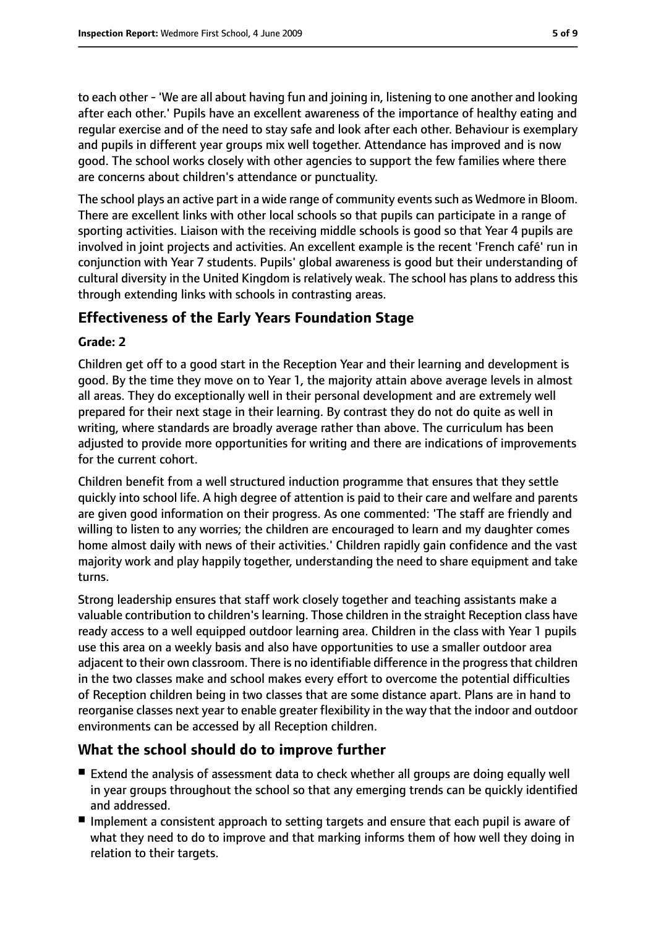to each other - 'We are all about having fun and joining in, listening to one another and looking after each other.' Pupils have an excellent awareness of the importance of healthy eating and regular exercise and of the need to stay safe and look after each other. Behaviour is exemplary and pupils in different year groups mix well together. Attendance has improved and is now good. The school works closely with other agencies to support the few families where there are concerns about children's attendance or punctuality.

The school plays an active part in a wide range of community events such as Wedmore in Bloom. There are excellent links with other local schools so that pupils can participate in a range of sporting activities. Liaison with the receiving middle schools is good so that Year 4 pupils are involved in joint projects and activities. An excellent example is the recent 'French café' run in conjunction with Year 7 students. Pupils' global awareness is good but their understanding of cultural diversity in the United Kingdom is relatively weak. The school has plans to address this through extending links with schools in contrasting areas.

#### **Effectiveness of the Early Years Foundation Stage**

#### **Grade: 2**

Children get off to a good start in the Reception Year and their learning and development is good. By the time they move on to Year 1, the majority attain above average levels in almost all areas. They do exceptionally well in their personal development and are extremely well prepared for their next stage in their learning. By contrast they do not do quite as well in writing, where standards are broadly average rather than above. The curriculum has been adjusted to provide more opportunities for writing and there are indications of improvements for the current cohort.

Children benefit from a well structured induction programme that ensures that they settle quickly into school life. A high degree of attention is paid to their care and welfare and parents are given good information on their progress. As one commented: 'The staff are friendly and willing to listen to any worries; the children are encouraged to learn and my daughter comes home almost daily with news of their activities.' Children rapidly gain confidence and the vast majority work and play happily together, understanding the need to share equipment and take turns.

Strong leadership ensures that staff work closely together and teaching assistants make a valuable contribution to children's learning. Those children in the straight Reception class have ready access to a well equipped outdoor learning area. Children in the class with Year 1 pupils use this area on a weekly basis and also have opportunities to use a smaller outdoor area adjacent to their own classroom. There is no identifiable difference in the progress that children in the two classes make and school makes every effort to overcome the potential difficulties of Reception children being in two classes that are some distance apart. Plans are in hand to reorganise classes next year to enable greater flexibility in the way that the indoor and outdoor environments can be accessed by all Reception children.

#### **What the school should do to improve further**

- Extend the analysis of assessment data to check whether all groups are doing equally well in year groups throughout the school so that any emerging trends can be quickly identified and addressed.
- Implement a consistent approach to setting targets and ensure that each pupil is aware of what they need to do to improve and that marking informs them of how well they doing in relation to their targets.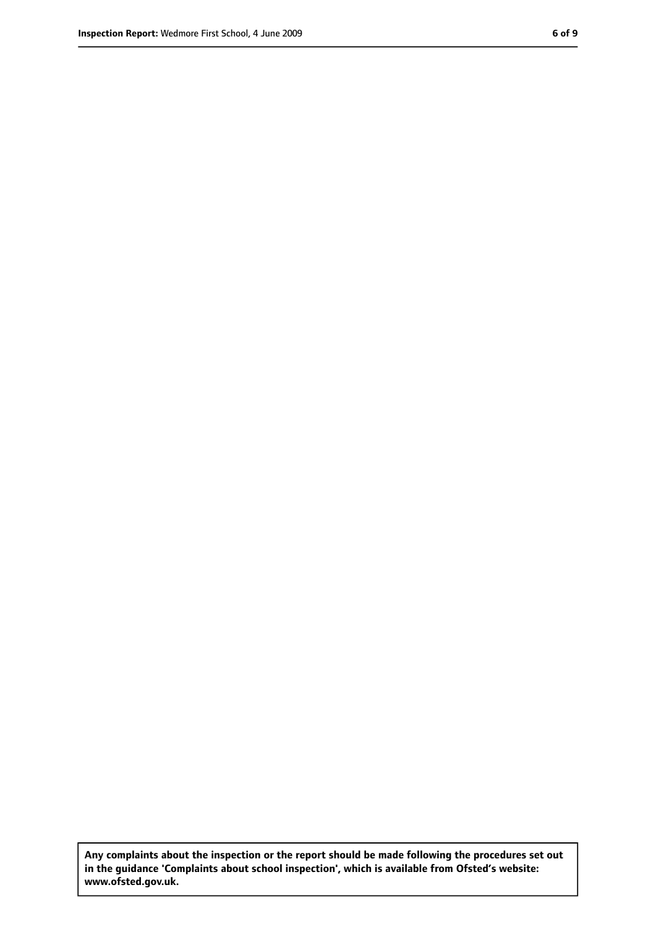**Any complaints about the inspection or the report should be made following the procedures set out in the guidance 'Complaints about school inspection', which is available from Ofsted's website: www.ofsted.gov.uk.**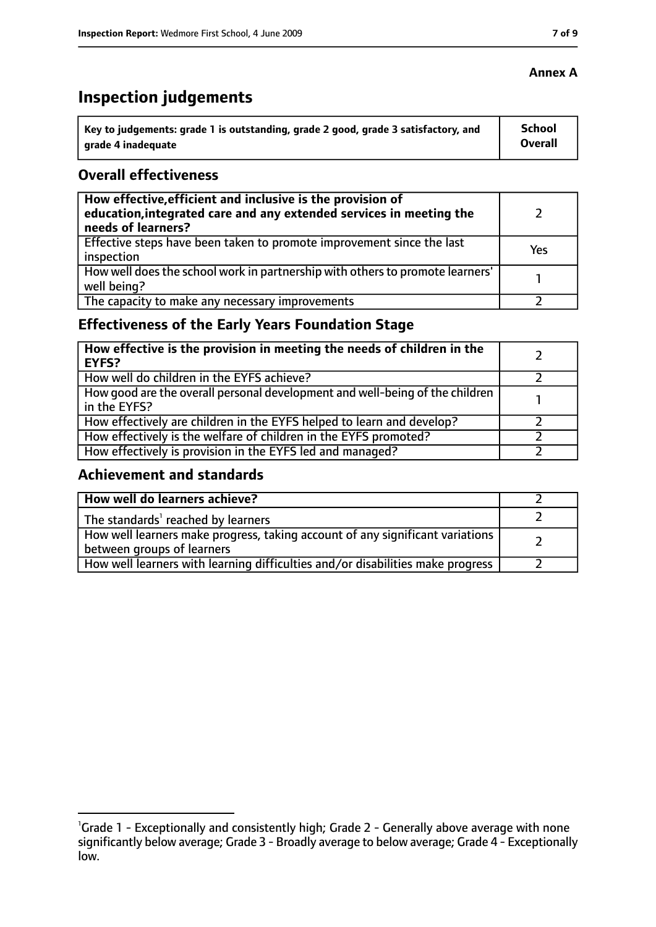# **Inspection judgements**

| ˈ Key to judgements: grade 1 is outstanding, grade 2 good, grade 3 satisfactory, and | <b>School</b>  |
|--------------------------------------------------------------------------------------|----------------|
| arade 4 inadequate                                                                   | <b>Overall</b> |

#### **Overall effectiveness**

| How effective, efficient and inclusive is the provision of<br>education, integrated care and any extended services in meeting the<br>needs of learners? |     |
|---------------------------------------------------------------------------------------------------------------------------------------------------------|-----|
| Effective steps have been taken to promote improvement since the last<br>inspection                                                                     | Yes |
| How well does the school work in partnership with others to promote learners'<br>well being?                                                            |     |
| The capacity to make any necessary improvements                                                                                                         |     |

## **Effectiveness of the Early Years Foundation Stage**

| How effective is the provision in meeting the needs of children in the<br><b>EYFS?</b>       |  |
|----------------------------------------------------------------------------------------------|--|
| How well do children in the EYFS achieve?                                                    |  |
| How good are the overall personal development and well-being of the children<br>in the EYFS? |  |
| How effectively are children in the EYFS helped to learn and develop?                        |  |
| How effectively is the welfare of children in the EYFS promoted?                             |  |
| How effectively is provision in the EYFS led and managed?                                    |  |

#### **Achievement and standards**

| How well do learners achieve?                                                                               |  |
|-------------------------------------------------------------------------------------------------------------|--|
| The standards <sup>1</sup> reached by learners                                                              |  |
| How well learners make progress, taking account of any significant variations<br>between groups of learners |  |
| How well learners with learning difficulties and/or disabilities make progress                              |  |

#### **Annex A**

<sup>&</sup>lt;sup>1</sup>Grade 1 - Exceptionally and consistently high; Grade 2 - Generally above average with none significantly below average; Grade 3 - Broadly average to below average; Grade 4 - Exceptionally low.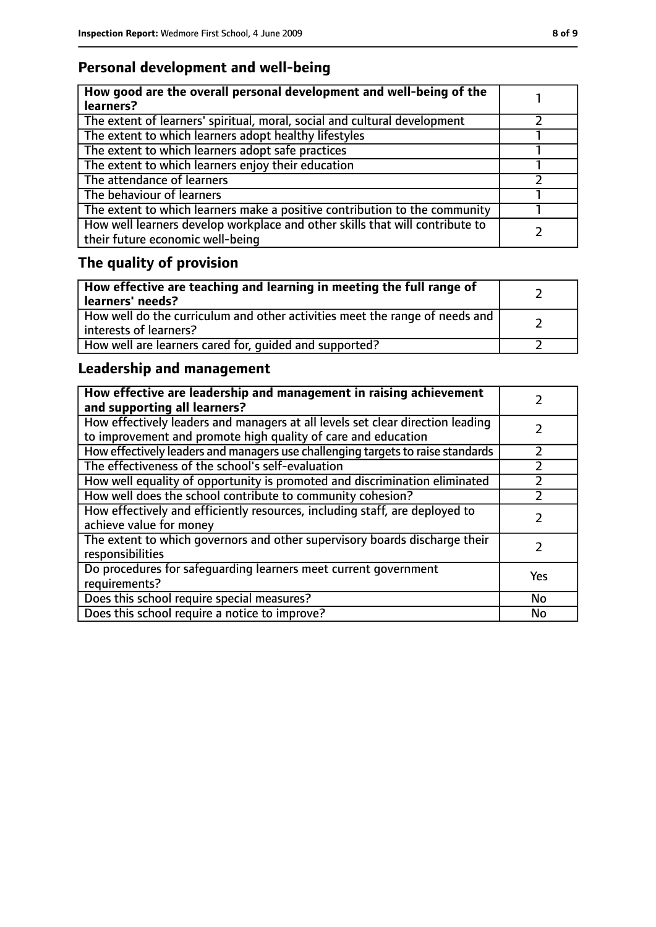## **Personal development and well-being**

| How good are the overall personal development and well-being of the<br>learners?                                 |  |
|------------------------------------------------------------------------------------------------------------------|--|
| The extent of learners' spiritual, moral, social and cultural development                                        |  |
| The extent to which learners adopt healthy lifestyles                                                            |  |
| The extent to which learners adopt safe practices                                                                |  |
| The extent to which learners enjoy their education                                                               |  |
| The attendance of learners                                                                                       |  |
| The behaviour of learners                                                                                        |  |
| The extent to which learners make a positive contribution to the community                                       |  |
| How well learners develop workplace and other skills that will contribute to<br>their future economic well-being |  |

# **The quality of provision**

| How effective are teaching and learning in meeting the full range of<br>learners' needs?              |  |
|-------------------------------------------------------------------------------------------------------|--|
| How well do the curriculum and other activities meet the range of needs and<br>interests of learners? |  |
| How well are learners cared for, quided and supported?                                                |  |

## **Leadership and management**

| How effective are leadership and management in raising achievement<br>and supporting all learners?                                              |     |
|-------------------------------------------------------------------------------------------------------------------------------------------------|-----|
| How effectively leaders and managers at all levels set clear direction leading<br>to improvement and promote high quality of care and education |     |
| How effectively leaders and managers use challenging targets to raise standards                                                                 |     |
| The effectiveness of the school's self-evaluation                                                                                               |     |
| How well equality of opportunity is promoted and discrimination eliminated                                                                      |     |
| How well does the school contribute to community cohesion?                                                                                      |     |
| How effectively and efficiently resources, including staff, are deployed to<br>achieve value for money                                          |     |
| The extent to which governors and other supervisory boards discharge their<br>responsibilities                                                  |     |
| Do procedures for safeguarding learners meet current government<br>requirements?                                                                | Yes |
| Does this school require special measures?                                                                                                      | No  |
| Does this school require a notice to improve?                                                                                                   | No  |